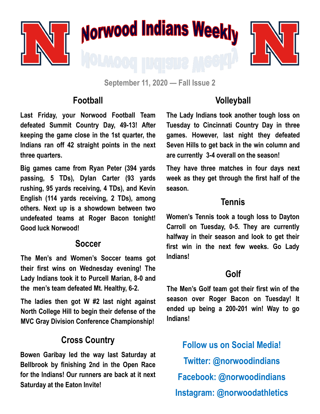

**September 11, 2020 — Fall Issue 2**

## **Football**

**Last Friday, your Norwood Football Team defeated Summit Country Day, 49-13! After keeping the game close in the 1st quarter, the Indians ran off 42 straight points in the next three quarters.** 

**Big games came from Ryan Peter (394 yards passing, 5 TDs), Dylan Carter (93 yards rushing, 95 yards receiving, 4 TDs), and Kevin English (114 yards receiving, 2 TDs), among others. Next up is a showdown between two undefeated teams at Roger Bacon tonight! Good luck Norwood!**

#### **Soccer**

**The Men's and Women's Soccer teams got their first wins on Wednesday evening! The Lady Indians took it to Purcell Marian, 8-0 and the men's team defeated Mt. Healthy, 6-2.** 

**The ladies then got W #2 last night against North College Hill to begin their defense of the MVC Gray Division Conference Championship!**

## **Cross Country**

**Bowen Garibay led the way last Saturday at Bellbrook by finishing 2nd in the Open Race for the Indians! Our runners are back at it next Saturday at the Eaton Invite!**

## **Volleyball**

**The Lady Indians took another tough loss on Tuesday to Cincinnati Country Day in three games. However, last night they defeated Seven Hills to get back in the win column and are currently 3-4 overall on the season!** 

**They have three matches in four days next week as they get through the first half of the season.** 

## **Tennis**

**Women's Tennis took a tough loss to Dayton Carroll on Tuesday, 0-5. They are currently halfway in their season and look to get their first win in the next few weeks. Go Lady Indians!**

## **Golf**

**The Men's Golf team got their first win of the season over Roger Bacon on Tuesday! It ended up being a 200-201 win! Way to go Indians!**

**Follow us on Social Media! Twitter: @norwoodindians Facebook: @norwoodindians Instagram: @norwoodathletics**